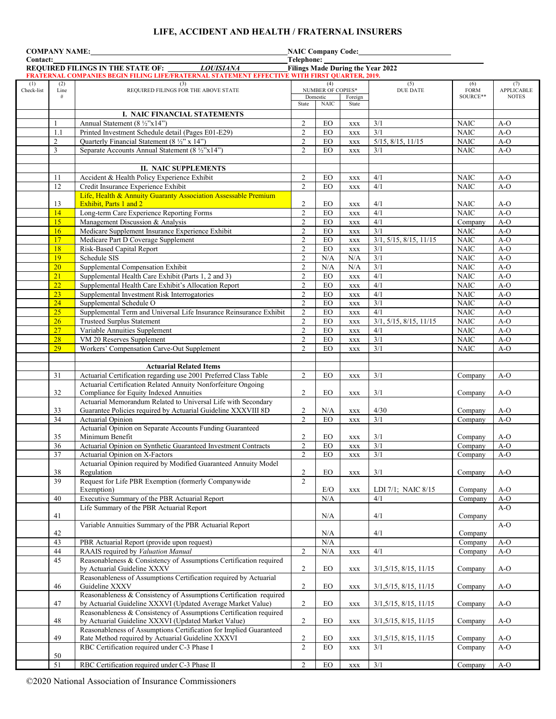# **LIFE, ACCIDENT AND HEALTH / FRATERNAL INSURERS**

| <b>COMPANY NAME:</b>                                                                                                                                                                                      |                 | NAIC Company Code:<br><u> </u>                                                                                            |                                  |                                      |                          |                           |                                           |                            |  |
|-----------------------------------------------------------------------------------------------------------------------------------------------------------------------------------------------------------|-----------------|---------------------------------------------------------------------------------------------------------------------------|----------------------------------|--------------------------------------|--------------------------|---------------------------|-------------------------------------------|----------------------------|--|
| Contact:                                                                                                                                                                                                  |                 |                                                                                                                           | Telephone:                       |                                      |                          |                           |                                           |                            |  |
| <b>REQUIRED FILINGS IN THE STATE OF:</b><br><b>LOUISIANA</b><br><b>Filings Made During the Year 2022</b><br>FRATERNAL COMPANIES BEGIN FILING LIFE/FRATERNAL STATEMENT EFFECTIVE WITH FIRST QUARTER, 2019. |                 |                                                                                                                           |                                  |                                      |                          |                           |                                           |                            |  |
| (1)                                                                                                                                                                                                       | (2)             | (3)                                                                                                                       |                                  | (4)                                  |                          | (5)                       | (6)                                       | (7)                        |  |
| Check-list                                                                                                                                                                                                | Line<br>#       | REQUIRED FILINGS FOR THE ABOVE STATE                                                                                      |                                  | <b>NUMBER OF COPIES*</b><br>Domestic | Foreign                  | DUE DATE                  | <b>FORM</b><br>SOURCE**                   | APPLICABLE<br><b>NOTES</b> |  |
|                                                                                                                                                                                                           |                 |                                                                                                                           | State                            | <b>NAIC</b>                          | State                    |                           |                                           |                            |  |
|                                                                                                                                                                                                           |                 | I. NAIC FINANCIAL STATEMENTS                                                                                              |                                  |                                      |                          |                           |                                           |                            |  |
|                                                                                                                                                                                                           | -1              | Annual Statement (8 ½"x14")                                                                                               | $\overline{2}$                   | EO                                   | <b>XXX</b>               | 3/1                       | <b>NAIC</b>                               | $A-O$                      |  |
|                                                                                                                                                                                                           | 1.1             | Printed Investment Schedule detail (Pages E01-E29)                                                                        | 2                                | EO                                   | <b>XXX</b>               | 3/1                       | <b>NAIC</b>                               | $A-O$                      |  |
|                                                                                                                                                                                                           | $\overline{2}$  | Quarterly Financial Statement (8 1/2" x 14")                                                                              | $\overline{c}$                   | EO                                   | $\mathbf{XXX}$           | $5/15$ , $8/15$ , $11/15$ | <b>NAIC</b>                               | $A-O$                      |  |
|                                                                                                                                                                                                           | $\overline{3}$  | Separate Accounts Annual Statement (8 ½"x14")                                                                             | $\overline{2}$                   | EO                                   | <b>XXX</b>               | 3/1                       | <b>NAIC</b>                               | $A-O$                      |  |
|                                                                                                                                                                                                           |                 |                                                                                                                           |                                  |                                      |                          |                           |                                           |                            |  |
|                                                                                                                                                                                                           | 11              | <b>II. NAIC SUPPLEMENTS</b><br>Accident & Health Policy Experience Exhibit                                                | $\overline{2}$                   | EO                                   |                          | 4/1                       | <b>NAIC</b>                               | $A-O$                      |  |
|                                                                                                                                                                                                           | 12              | Credit Insurance Experience Exhibit                                                                                       | $\overline{2}$                   | EO                                   | <b>XXX</b><br><b>XXX</b> | 4/1                       | <b>NAIC</b>                               | $A-O$                      |  |
|                                                                                                                                                                                                           |                 | Life, Health & Annuity Guaranty Association Assessable Premium                                                            |                                  |                                      |                          |                           |                                           |                            |  |
|                                                                                                                                                                                                           | 13              | Exhibit, Parts 1 and 2                                                                                                    | $\overline{c}$                   | EO                                   | XXX                      | 4/1                       | NAIC                                      | $A-O$                      |  |
|                                                                                                                                                                                                           | 14              | Long-term Care Experience Reporting Forms                                                                                 | $\overline{2}$                   | EO                                   | $\mathbf{XXX}$           | 4/1                       | <b>NAIC</b>                               | $A-O$                      |  |
|                                                                                                                                                                                                           | 15              | Management Discussion & Analysis                                                                                          | $\overline{2}$                   | EO                                   | <b>XXX</b>               | 4/1                       | Company                                   | $A-O$                      |  |
|                                                                                                                                                                                                           | 16              | Medicare Supplement Insurance Experience Exhibit                                                                          | $\overline{c}$                   | EO                                   | <b>XXX</b>               | 3/1                       | NAIC                                      | $A-O$                      |  |
|                                                                                                                                                                                                           | 17              | Medicare Part D Coverage Supplement                                                                                       | $\overline{c}$                   | EO                                   | <b>XXX</b>               | 3/1, 5/15, 8/15, 11/15    | <b>NAIC</b>                               | $A-O$                      |  |
|                                                                                                                                                                                                           | 18              | Risk-Based Capital Report                                                                                                 | $\overline{2}$                   | EO                                   | <b>XXX</b>               | 3/1                       | <b>NAIC</b>                               | $A-O$                      |  |
|                                                                                                                                                                                                           | 19<br>20        | Schedule SIS                                                                                                              | $\overline{c}$<br>$\overline{c}$ | N/A                                  | N/A<br>N/A               | 3/1<br>3/1                | <b>NAIC</b>                               | $A-O$                      |  |
|                                                                                                                                                                                                           | 21              | Supplemental Compensation Exhibit<br>Supplemental Health Care Exhibit (Parts 1, 2 and 3)                                  | $\overline{c}$                   | N/A<br>EO                            | <b>XXX</b>               | 4/1                       | <b>NAIC</b><br><b>NAIC</b>                | $A-O$<br>$A-O$             |  |
|                                                                                                                                                                                                           | 22              | Supplemental Health Care Exhibit's Allocation Report                                                                      | $\overline{c}$                   | EO                                   | $\mathbf{XXX}$           | 4/1                       | <b>NAIC</b>                               | $A-O$                      |  |
|                                                                                                                                                                                                           | 23              | Supplemental Investment Risk Interrogatories                                                                              | $\overline{2}$                   | EO                                   | $\mathbf{XXX}$           | 4/1                       | <b>NAIC</b>                               | $A-O$                      |  |
|                                                                                                                                                                                                           | 24              | Supplemental Schedule O                                                                                                   | $\overline{2}$                   | EO                                   | <b>XXX</b>               | 3/1                       | <b>NAIC</b>                               | $A-O$                      |  |
|                                                                                                                                                                                                           | 25              | Supplemental Term and Universal Life Insurance Reinsurance Exhibit                                                        | $\overline{2}$                   | EO                                   | $\mathbf{XXX}$           | 4/1                       | <b>NAIC</b>                               | $A-O$                      |  |
|                                                                                                                                                                                                           | 26              | <b>Trusteed Surplus Statement</b>                                                                                         | $\overline{2}$                   | EO                                   | <b>XXX</b>               | 3/1, 5/15, 8/15, 11/15    | <b>NAIC</b>                               | $A-O$                      |  |
|                                                                                                                                                                                                           | 27              | Variable Annuities Supplement                                                                                             | $\overline{2}$                   | EO                                   | $\mathbf{XXX}$           | 4/1                       | $\rm NAIC$                                | $A-O$                      |  |
|                                                                                                                                                                                                           | 28              | VM 20 Reserves Supplement                                                                                                 | 2                                | EO                                   | <b>XXX</b>               | 3/1                       | <b>NAIC</b>                               | $A-O$                      |  |
|                                                                                                                                                                                                           | 29              | Workers' Compensation Carve-Out Supplement                                                                                | $\overline{2}$                   | EO                                   | <b>XXX</b>               | 3/1                       | <b>NAIC</b>                               | $A-O$                      |  |
|                                                                                                                                                                                                           |                 |                                                                                                                           |                                  |                                      |                          |                           |                                           |                            |  |
|                                                                                                                                                                                                           |                 | <b>Actuarial Related Items</b><br>Actuarial Certification regarding use 2001 Preferred Class Table                        | $\overline{2}$                   | EO                                   |                          | 3/1                       |                                           |                            |  |
|                                                                                                                                                                                                           | 31              | Actuarial Certification Related Annuity Nonforfeiture Ongoing                                                             |                                  |                                      | <b>XXX</b>               |                           | Company                                   | $A-O$                      |  |
|                                                                                                                                                                                                           | 32              | Compliance for Equity Indexed Annuities                                                                                   | $\overline{2}$                   | EO                                   | <b>XXX</b>               | 3/1                       | Company                                   | $A-O$                      |  |
|                                                                                                                                                                                                           |                 | Actuarial Memorandum Related to Universal Life with Secondary                                                             |                                  |                                      |                          |                           |                                           |                            |  |
|                                                                                                                                                                                                           | 33              | Guarantee Policies required by Actuarial Guideline XXXVIII 8D                                                             | 2                                | N/A                                  | <b>XXX</b>               | 4/30                      | Company                                   | $A-O$                      |  |
|                                                                                                                                                                                                           | 34              | Actuarial Opinion                                                                                                         | $\overline{2}$                   | EO                                   | <b>XXX</b>               | 3/1                       | Company                                   | $A-O$                      |  |
|                                                                                                                                                                                                           |                 | Actuarial Opinion on Separate Accounts Funding Guaranteed                                                                 |                                  |                                      |                          |                           |                                           |                            |  |
|                                                                                                                                                                                                           | 35              | Minimum Benefit                                                                                                           | 2                                | EO                                   | $\mathbf{XXX}$           | 3/1                       | Company                                   | $A-O$                      |  |
|                                                                                                                                                                                                           | 36              | Actuarial Opinion on Synthetic Guaranteed Investment Contracts                                                            | $\overline{2}$                   | EO                                   | <b>XXX</b>               | 3/1                       | Company                                   | $A-O$                      |  |
|                                                                                                                                                                                                           | 37              | Actuarial Opinion on X-Factors<br>Actuarial Opinion required by Modified Guaranteed Annuity Model                         | $\overline{c}$                   | ${\rm EO}$                           | $\mathbf{XXX}$           | 3/1                       | Company                                   | $\mbox{A-O}$               |  |
|                                                                                                                                                                                                           | 38              | Regulation                                                                                                                | 2                                | $E_{\rm O}$                          | <b>XXX</b>               | 3/1                       | Company                                   | $A-O$                      |  |
|                                                                                                                                                                                                           | 39              | Request for Life PBR Exemption (formerly Companywide                                                                      | $\overline{2}$                   |                                      |                          |                           |                                           |                            |  |
|                                                                                                                                                                                                           |                 | Exemption)                                                                                                                |                                  | E/O                                  | $\mathbf{XXX}$           | LDI 7/1; NAIC 8/15        | Company                                   | $A-O$                      |  |
|                                                                                                                                                                                                           | 40              | Executive Summary of the PBR Actuarial Report                                                                             |                                  | N/A                                  |                          | 4/1                       | Company                                   | $A-O$                      |  |
|                                                                                                                                                                                                           |                 | Life Summary of the PBR Actuarial Report                                                                                  |                                  |                                      |                          |                           |                                           | $A-O$                      |  |
|                                                                                                                                                                                                           | 41              |                                                                                                                           |                                  | N/A                                  |                          | 4/1                       | Company                                   |                            |  |
|                                                                                                                                                                                                           |                 | Variable Annuities Summary of the PBR Actuarial Report                                                                    |                                  |                                      |                          |                           |                                           | $A-O$                      |  |
|                                                                                                                                                                                                           | 42<br>43        | PBR Actuarial Report (provide upon request)                                                                               |                                  | $\rm N/A$<br>N/A                     |                          | 4/1                       | Company<br>$\overline{\mathrm{Comp}}$ any | $A-O$                      |  |
|                                                                                                                                                                                                           | 44              | RAAIS required by Valuation Manual                                                                                        | $\overline{2}$                   | N/A                                  | $\mathbf{XXX}$           | 4/1                       | Company                                   | $A-O$                      |  |
|                                                                                                                                                                                                           | 45              | Reasonableness & Consistency of Assumptions Certification required                                                        |                                  |                                      |                          |                           |                                           |                            |  |
|                                                                                                                                                                                                           |                 | by Actuarial Guideline XXXV                                                                                               | $\overline{2}$                   | EO                                   | <b>XXX</b>               | 3/1,5/15, 8/15, 11/15     | Company                                   | $A-O$                      |  |
|                                                                                                                                                                                                           |                 | Reasonableness of Assumptions Certification required by Actuarial                                                         |                                  |                                      |                          |                           |                                           |                            |  |
|                                                                                                                                                                                                           | 46              | Guideline XXXV                                                                                                            | $\overline{2}$                   | EO                                   | $\mathbf{XXX}$           | 3/1,5/15, 8/15, 11/15     | Company                                   | $A-O$                      |  |
|                                                                                                                                                                                                           |                 | Reasonableness & Consistency of Assumptions Certification required                                                        |                                  |                                      |                          |                           |                                           |                            |  |
|                                                                                                                                                                                                           | 47              | by Actuarial Guideline XXXVI (Updated Average Market Value)                                                               | $\overline{2}$                   | EO                                   | <b>XXX</b>               | 3/1,5/15, 8/15, 11/15     | Company                                   | $A-O$                      |  |
|                                                                                                                                                                                                           | 48              | Reasonableness & Consistency of Assumptions Certification required<br>by Actuarial Guideline XXXVI (Updated Market Value) | $\overline{c}$                   | EO                                   |                          |                           | Company                                   | $A-O$                      |  |
|                                                                                                                                                                                                           |                 | Reasonableness of Assumptions Certification for Implied Guaranteed                                                        |                                  |                                      | $\mathbf{XXX}$           | 3/1, 5/15, 8/15, 11/15    |                                           |                            |  |
|                                                                                                                                                                                                           | 49              | Rate Method required by Actuarial Guideline XXXVI                                                                         | $\overline{c}$                   | EO                                   | $\mathbf{XXX}$           | 3/1, 5/15, 8/15, 11/15    | Company                                   | $A-O$                      |  |
|                                                                                                                                                                                                           |                 | RBC Certification required under C-3 Phase I                                                                              | $\overline{2}$                   | ${\rm EO}$                           | <b>XXX</b>               | 3/1                       | Company                                   | $A-O$                      |  |
|                                                                                                                                                                                                           | 50              |                                                                                                                           |                                  |                                      |                          |                           |                                           |                            |  |
|                                                                                                                                                                                                           | $\overline{51}$ | RBC Certification required under C-3 Phase II                                                                             | $\overline{2}$                   | EO                                   | XXX                      | 3/1                       | Company                                   | $A-O$                      |  |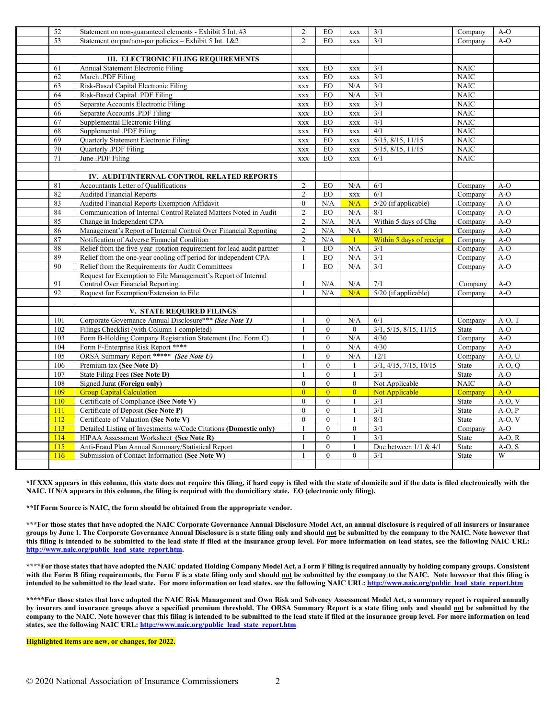| 52  | Statement on non-guaranteed elements - Exhibit 5 Int. #3              | $\overline{2}$   | EO               | $\mathbf{XXX}$ | 3/1                       | Company      | $A-O$    |
|-----|-----------------------------------------------------------------------|------------------|------------------|----------------|---------------------------|--------------|----------|
| 53  | Statement on par/non-par policies - Exhibit 5 Int. 1&2                | $\overline{2}$   | EO               | <b>XXX</b>     | 3/1                       | Company      | $A-O$    |
|     |                                                                       |                  |                  |                |                           |              |          |
|     | <b>III. ELECTRONIC FILING REQUIREMENTS</b>                            |                  |                  |                |                           |              |          |
| 61  | Annual Statement Electronic Filing                                    | $\mathbf{XXX}$   | EO               | <b>XXX</b>     | 3/1                       | <b>NAIC</b>  |          |
| 62  | March .PDF Filing                                                     | <b>XXX</b>       | EO               | <b>XXX</b>     | 3/1                       | <b>NAIC</b>  |          |
| 63  | Risk-Based Capital Electronic Filing                                  | XXX              | EO               | N/A            | 3/1                       | <b>NAIC</b>  |          |
| 64  | Risk-Based Capital .PDF Filing                                        | XXX              | EO               | N/A            | 3/1                       | <b>NAIC</b>  |          |
| 65  | Separate Accounts Electronic Filing                                   | <b>XXX</b>       | EO               | <b>XXX</b>     | 3/1                       | <b>NAIC</b>  |          |
| 66  | Separate Accounts .PDF Filing                                         | <b>XXX</b>       | EO               | <b>XXX</b>     | $\overline{\frac{3}{1}}$  | <b>NAIC</b>  |          |
| 67  | Supplemental Electronic Filing                                        | <b>XXX</b>       | EO               | $\mathbf{XXX}$ | 4/1                       | <b>NAIC</b>  |          |
| 68  | Supplemental .PDF Filing                                              | $\mathbf{XXX}$   | EO               | <b>XXX</b>     | 4/1                       | <b>NAIC</b>  |          |
| 69  | Quarterly Statement Electronic Filing                                 | <b>XXX</b>       | EO               | <b>XXX</b>     | 5/15, 8/15, 11/15         | <b>NAIC</b>  |          |
| 70  | Quarterly .PDF Filing                                                 | $\mathbf{XXX}$   | EO               | <b>XXX</b>     | $5/15$ , $8/15$ , $11/15$ | <b>NAIC</b>  |          |
| 71  | June .PDF Filing                                                      | $\mathbf{XXX}$   | EO               | $\mathbf{XXX}$ | 6/1                       | <b>NAIC</b>  |          |
|     |                                                                       |                  |                  |                |                           |              |          |
|     | IV. AUDIT/INTERNAL CONTROL RELATED REPORTS                            |                  |                  |                |                           |              |          |
| 81  | Accountants Letter of Qualifications                                  | $\overline{2}$   | EO               | N/A            | 6/1                       | Company      | $A-O$    |
| 82  | <b>Audited Financial Reports</b>                                      | $\overline{c}$   | EO               | $\mathbf{XXX}$ | 6/1                       | Company      | $A-O$    |
| 83  | Audited Financial Reports Exemption Affidavit                         | $\boldsymbol{0}$ | N/A              | N/A            | 5/20 (if applicable)      | Company      | $A-O$    |
| 84  | Communication of Internal Control Related Matters Noted in Audit      | $\overline{c}$   | EO               | N/A            | 8/1                       | Company      | $A-O$    |
| 85  | Change in Independent CPA                                             | $\mathbf{2}$     | N/A              | N/A            | Within 5 days of Chg      | Company      | $A-O$    |
| 86  | Management's Report of Internal Control Over Financial Reporting      | $\overline{2}$   | N/A              | N/A            | 8/1                       | Company      | $A-O$    |
| 87  | Notification of Adverse Financial Condition                           | $\overline{2}$   | N/A              | $\mathbf{1}$   | Within 5 days of receipt  | Company      | $A-O$    |
| 88  | Relief from the five-year rotation requirement for lead audit partner | $\mathbf{1}$     | EO               | N/A            | 3/1                       | Company      | $A-O$    |
| 89  | Relief from the one-year cooling off period for independent CPA       | $\mathbf{1}$     | EO               | N/A            | $\overline{3/1}$          | Company      | $A-O$    |
| 90  | Relief from the Requirements for Audit Committees                     |                  | <b>EO</b>        | N/A            | $\overline{3/1}$          | Company      | $A-O$    |
|     | Request for Exemption to File Management's Report of Internal         |                  |                  |                |                           |              |          |
| 91  | <b>Control Over Financial Reporting</b>                               | $\mathbf{1}$     | N/A              | N/A            | 7/1                       | Company      | $A-O$    |
| 92  | Request for Exemption/Extension to File                               | $\mathbf{1}$     | N/A              | N/A            | 5/20 (if applicable)      | Company      | $A-O$    |
|     |                                                                       |                  |                  |                |                           |              |          |
|     | <b>V. STATE REQUIRED FILINGS</b>                                      |                  |                  |                |                           |              |          |
| 101 | Corporate Governance Annual Disclosure*** (See Note T)                |                  | $\boldsymbol{0}$ | N/A            | 6/1                       | Company      | $A-O, T$ |
| 102 | Filings Checklist (with Column 1 completed)                           |                  | $\theta$         | $\overline{0}$ | 3/1, 5/15, 8/15, 11/15    | <b>State</b> | $A-O$    |
| 103 | Form B-Holding Company Registration Statement (Inc. Form C)           |                  | $\mathbf{0}$     | N/A            | 4/30                      | Company      | $A-O$    |
| 104 | Form F-Enterprise Risk Report ****                                    | $\mathbf{1}$     | $\mathbf{0}$     | N/A            | 4/30                      | Company      | $A-O$    |
| 105 | ORSA Summary Report ***** (See Note U)                                | $\mathbf{1}$     | $\mathbf{0}$     | N/A            | 12/1                      | Company      | $A-O, U$ |
| 106 | Premium tax (See Note D)                                              | $\mathbf{1}$     | $\mathbf{0}$     | $\mathbf{1}$   | 3/1, 4/15, 7/15, 10/15    | State        | $A-O, O$ |
| 107 | State Filing Fees (See Note D)                                        | $\mathbf{1}$     | $\mathbf{0}$     | $\mathbf{1}$   | 3/1                       | State        | $A-O$    |
| 108 | <b>Signed Jurat (Foreign only)</b>                                    | $\theta$         | $\theta$         | $\theta$       | Not Applicable            | <b>NAIC</b>  | $A-O$    |
| 109 | <b>Group Capital Calculation</b>                                      | $\overline{0}$   | $\overline{0}$   | $\overline{0}$ | Not Applicable            | Company      | $A-O$    |
| 110 | Certificate of Compliance (See Note V)                                | $\mathbf{0}$     | $\overline{0}$   | $\mathbf{1}$   | $\overline{\frac{3}{1}}$  | State        | $A-O, V$ |
| 111 | Certificate of Deposit (See Note P)                                   | $\mathbf{0}$     | $\mathbf{0}$     | 1              | 3/1                       | State        | $A-O, P$ |
| 112 | Certificate of Valuation (See Note V)                                 | $\overline{0}$   | $\overline{0}$   | $\mathbf{1}$   | 8/1                       | State        | $A-O, V$ |
| 113 | Detailed Listing of Investments w/Code Citations (Domestic only)      | $\mathbf{1}$     | $\mathbf{0}$     | $\overline{0}$ | 3/1                       | Company      | $A-O$    |
| 114 | HIPAA Assessment Worksheet (See Note R)                               | $\mathbf{1}$     | $\theta$         | $\mathbf{1}$   | 3/1                       | State        | $A-O, R$ |
| 115 | Anti-Fraud Plan Annual Summary/Statistical Report                     | $\mathbf{1}$     | $\mathbf{0}$     | 1              | Due between $1/1$ & $4/1$ | State        | $A-O, S$ |
| 116 | Submission of Contact Information (See Note W)                        | $\mathbf{1}$     | $\theta$         | $\theta$       | 3/1                       | <b>State</b> | W        |
|     |                                                                       |                  |                  |                |                           |              |          |

**\*If XXX appears in this column, this state does not require this filing, if hard copy is filed with the state of domicile and if the data is filed electronically with the NAIC. If N/A appears in this column, the filing is required with the domiciliary state. EO (electronic only filing).**

**\*\*If Form Source is NAIC, the form should be obtained from the appropriate vendor.** 

**\*\*\*For those states that have adopted the NAIC Corporate Governance Annual Disclosure Model Act, an annual disclosure is required of all insurers or insurance groups by June 1. The Corporate Governance Annual Disclosure is a state filing only and should not be submitted by the company to the NAIC. Note however that this filing is intended to be submitted to the lead state if filed at the insurance group level. For more information on lead states, see the following NAIC URL: [http://www.naic.org/public\\_lead\\_state\\_report.htm.](http://www.naic.org/public_lead_state_report.htm)**

**\*\*\*\*For those states that have adopted the NAIC updated Holding Company Model Act, a Form F filing is required annually by holding company groups. Consistent with the Form B filing requirements, the Form F is a state filing only and should not be submitted by the company to the NAIC. Note however that this filing is**  intended to be submitted to the lead state. For more information on lead states, see the following NAIC URL[: http://www.naic.org/public\\_lead\\_state\\_report.htm](http://www.naic.org/public_lead_state_report.htm)

**\*\*\*\*\*For those states that have adopted the NAIC Risk Management and Own Risk and Solvency Assessment Model Act, a summary report is required annually by insurers and insurance groups above a specified premium threshold. The ORSA Summary Report is a state filing only and should not be submitted by the company to the NAIC. Note however that this filing is intended to be submitted to the lead state if filed at the insurance group level. For more information on lead**  states, see the following NAIC URL[: http://www.naic.org/public\\_lead\\_state\\_report.htm](http://www.naic.org/public_lead_state_report.htm)

**Highlighted items are new, or changes, for 2022.**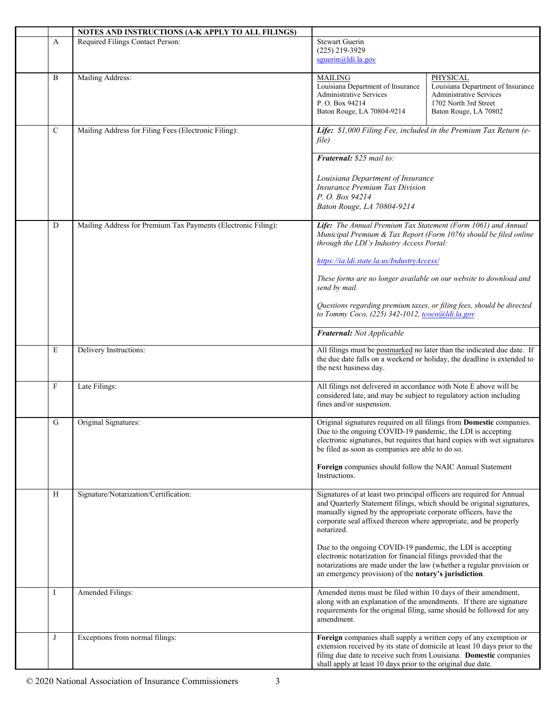|             | NOTES AND INSTRUCTIONS (A-K APPLY TO ALL FILINGS)             |                                                                                                                                                                                                                                                                                                                                                                                                                                                                                                                                                                        |
|-------------|---------------------------------------------------------------|------------------------------------------------------------------------------------------------------------------------------------------------------------------------------------------------------------------------------------------------------------------------------------------------------------------------------------------------------------------------------------------------------------------------------------------------------------------------------------------------------------------------------------------------------------------------|
| A           | Required Filings Contact Person:                              | <b>Stewart Guerin</b><br>$(225)$ 219-3929<br>squerin@ldi.la.gov                                                                                                                                                                                                                                                                                                                                                                                                                                                                                                        |
| B           | Mailing Address:                                              | <b>MAILING</b><br>PHYSICAL<br>Louisiana Department of Insurance<br>Louisiana Department of Insurance<br><b>Administrative Services</b><br>Administrative Services<br>P.O. Box 94214<br>1702 North 3rd Street<br>Baton Rouge, LA 70804-9214<br>Baton Rouge, LA 70802                                                                                                                                                                                                                                                                                                    |
| $\mathbf C$ | Mailing Address for Filing Fees (Electronic Filing):          | Life: \$1,000 Filing Fee, included in the Premium Tax Return (e-<br>file)                                                                                                                                                                                                                                                                                                                                                                                                                                                                                              |
|             |                                                               | Fraternal: \$25 mail to:<br>Louisiana Department of Insurance<br><b>Insurance Premium Tax Division</b><br>P. O. Box 94214<br>Baton Rouge, LA 70804-9214                                                                                                                                                                                                                                                                                                                                                                                                                |
| D           | Mailing Address for Premium Tax Payments (Electronic Filing): | Life: The Annual Premium Tax Statement (Form 1061) and Annual<br>Municipal Premium & Tax Report (Form 1076) should be filed online<br>through the LDI's Industry Access Portal:<br>https://ia.ldi.state.la.us/IndustryAccess/<br>These forms are no longer available on our website to download and<br>send by mail.                                                                                                                                                                                                                                                   |
|             |                                                               | Questions regarding premium taxes, or filing fees, should be directed<br>to Tommy Coco, (225) 342-1012, tcoco@ldi.la.gov<br>Fraternal: Not Applicable                                                                                                                                                                                                                                                                                                                                                                                                                  |
| E           | Delivery Instructions:                                        | All filings must be postmarked no later than the indicated due date. If<br>the due date falls on a weekend or holiday, the deadline is extended to<br>the next business day.                                                                                                                                                                                                                                                                                                                                                                                           |
| F           | Late Filings:                                                 | All filings not delivered in accordance with Note E above will be<br>considered late, and may be subject to regulatory action including<br>fines and/or suspension.                                                                                                                                                                                                                                                                                                                                                                                                    |
| G           | Original Signatures:                                          | Original signatures required on all filings from Domestic companies.<br>Due to the ongoing COVID-19 pandemic, the LDI is accepting<br>electronic signatures, but requires that hard copies with wet signatures<br>be filed as soon as companies are able to do so.<br>Foreign companies should follow the NAIC Annual Statement<br>Instructions.                                                                                                                                                                                                                       |
| H           | Signature/Notarization/Certification:                         | Signatures of at least two principal officers are required for Annual<br>and Quarterly Statement filings, which should be original signatures,<br>manually signed by the appropriate corporate officers, have the<br>corporate seal affixed thereon where appropriate, and be properly<br>notarized.<br>Due to the ongoing COVID-19 pandemic, the LDI is accepting<br>electronic notarization for financial filings provided that the<br>notarizations are made under the law (whether a regular provision or<br>an emergency provision) of the notary's jurisdiction. |
| Ι           | Amended Filings:                                              | Amended items must be filed within 10 days of their amendment,<br>along with an explanation of the amendments. If there are signature<br>requirements for the original filing, same should be followed for any<br>amendment.                                                                                                                                                                                                                                                                                                                                           |
| J           | Exceptions from normal filings:                               | Foreign companies shall supply a written copy of any exemption or<br>extension received by its state of domicile at least 10 days prior to the<br>filing due date to receive such from Louisiana. Domestic companies<br>shall apply at least 10 days prior to the original due date.                                                                                                                                                                                                                                                                                   |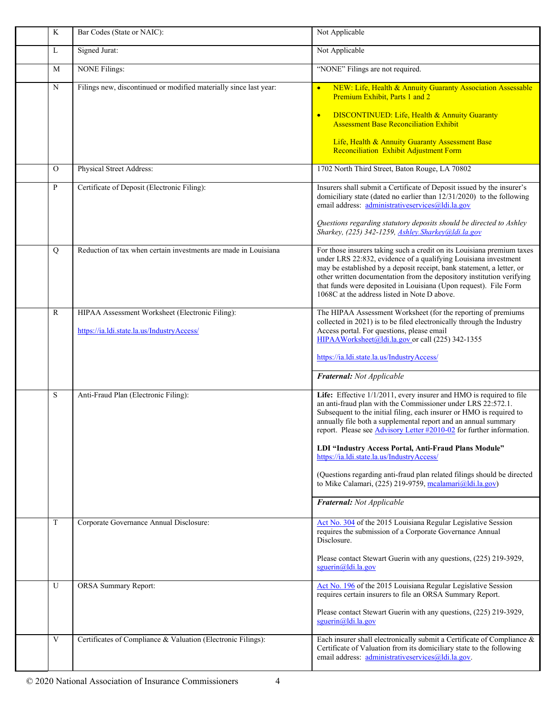| $\rm K$       | Bar Codes (State or NAIC):                                        | Not Applicable                                                                                                                                                                                                                                                                                                                                                                                                                                               |
|---------------|-------------------------------------------------------------------|--------------------------------------------------------------------------------------------------------------------------------------------------------------------------------------------------------------------------------------------------------------------------------------------------------------------------------------------------------------------------------------------------------------------------------------------------------------|
| L             | Signed Jurat:                                                     | Not Applicable                                                                                                                                                                                                                                                                                                                                                                                                                                               |
| M             | <b>NONE Filings:</b>                                              | "NONE" Filings are not required.                                                                                                                                                                                                                                                                                                                                                                                                                             |
| $\mathbf N$   | Filings new, discontinued or modified materially since last year: | NEW: Life, Health & Annuity Guaranty Association Assessable<br>$\bullet$<br>Premium Exhibit, Parts 1 and 2                                                                                                                                                                                                                                                                                                                                                   |
|               |                                                                   | <b>DISCONTINUED:</b> Life, Health & Annuity Guaranty<br>$\bullet$<br><b>Assessment Base Reconciliation Exhibit</b>                                                                                                                                                                                                                                                                                                                                           |
|               |                                                                   | Life, Health & Annuity Guaranty Assessment Base<br>Reconciliation Exhibit Adjustment Form                                                                                                                                                                                                                                                                                                                                                                    |
| $\mathcal{O}$ | Physical Street Address:                                          | 1702 North Third Street, Baton Rouge, LA 70802                                                                                                                                                                                                                                                                                                                                                                                                               |
| ${\bf P}$     | Certificate of Deposit (Electronic Filing):                       | Insurers shall submit a Certificate of Deposit issued by the insurer's<br>domiciliary state (dated no earlier than $12/31/2020$ ) to the following<br>email address: administrativeservices@ldi.la.gov                                                                                                                                                                                                                                                       |
|               |                                                                   | Questions regarding statutory deposits should be directed to Ashley<br>Sharkey, (225) 342-1259, Ashley.Sharkey@ldi.la.gov                                                                                                                                                                                                                                                                                                                                    |
| Q             | Reduction of tax when certain investments are made in Louisiana   | For those insurers taking such a credit on its Louisiana premium taxes<br>under LRS 22:832, evidence of a qualifying Louisiana investment<br>may be established by a deposit receipt, bank statement, a letter, or<br>other written documentation from the depository institution verifying<br>that funds were deposited in Louisiana (Upon request). File Form<br>1068C at the address listed in Note D above.                                              |
| $\mathbb{R}$  | HIPAA Assessment Worksheet (Electronic Filing):                   | The HIPAA Assessment Worksheet (for the reporting of premiums<br>collected in 2021) is to be filed electronically through the Industry                                                                                                                                                                                                                                                                                                                       |
|               | https://ia.ldi.state.la.us/IndustryAccess/                        | Access portal. For questions, please email<br>HIPAAWorksheet@ldi.la.gov or call (225) 342-1355                                                                                                                                                                                                                                                                                                                                                               |
|               |                                                                   | https://ia.ldi.state.la.us/IndustryAccess/                                                                                                                                                                                                                                                                                                                                                                                                                   |
|               |                                                                   | Fraternal: Not Applicable                                                                                                                                                                                                                                                                                                                                                                                                                                    |
| S             | Anti-Fraud Plan (Electronic Filing):                              | Life: Effective 1/1/2011, every insurer and HMO is required to file<br>an anti-fraud plan with the Commissioner under LRS 22:572.1.<br>Subsequent to the initial filing, each insurer or HMO is required to<br>annually file both a supplemental report and an annual summary<br>report. Please see Advisory Letter #2010-02 for further information.<br>LDI "Industry Access Portal, Anti-Fraud Plans Module"<br>https://ia.ldi.state.la.us/IndustryAccess/ |
|               |                                                                   | (Questions regarding anti-fraud plan related filings should be directed<br>to Mike Calamari, (225) 219-9759, mcalamari@ldi.la.gov)                                                                                                                                                                                                                                                                                                                           |
|               |                                                                   | Fraternal: Not Applicable                                                                                                                                                                                                                                                                                                                                                                                                                                    |
| T             | Corporate Governance Annual Disclosure:                           | Act No. 304 of the 2015 Louisiana Regular Legislative Session<br>requires the submission of a Corporate Governance Annual<br>Disclosure.                                                                                                                                                                                                                                                                                                                     |
|               |                                                                   | Please contact Stewart Guerin with any questions, (225) 219-3929,<br>sguerin@ldi.la.gov                                                                                                                                                                                                                                                                                                                                                                      |
| U             | <b>ORSA Summary Report:</b>                                       | Act No. 196 of the 2015 Louisiana Regular Legislative Session<br>requires certain insurers to file an ORSA Summary Report.                                                                                                                                                                                                                                                                                                                                   |
|               |                                                                   | Please contact Stewart Guerin with any questions, (225) 219-3929,<br>sguerin@ldi.la.gov                                                                                                                                                                                                                                                                                                                                                                      |
| $\mathbf V$   | Certificates of Compliance & Valuation (Electronic Filings):      | Each insurer shall electronically submit a Certificate of Compliance &<br>Certificate of Valuation from its domiciliary state to the following<br>email address: administrativeservices@ldi.la.gov.                                                                                                                                                                                                                                                          |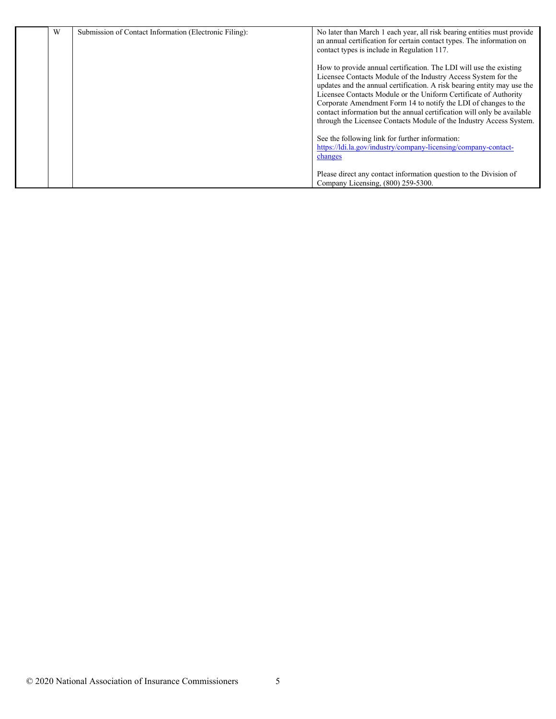| W | Submission of Contact Information (Electronic Filing): | No later than March 1 each year, all risk bearing entities must provide<br>an annual certification for certain contact types. The information on<br>contact types is include in Regulation 117.                                                                                                                                                                                                                                                                                                          |
|---|--------------------------------------------------------|----------------------------------------------------------------------------------------------------------------------------------------------------------------------------------------------------------------------------------------------------------------------------------------------------------------------------------------------------------------------------------------------------------------------------------------------------------------------------------------------------------|
|   |                                                        | How to provide annual certification. The LDI will use the existing<br>Licensee Contacts Module of the Industry Access System for the<br>updates and the annual certification. A risk bearing entity may use the<br>Licensee Contacts Module or the Uniform Certificate of Authority<br>Corporate Amendment Form 14 to notify the LDI of changes to the<br>contact information but the annual certification will only be available<br>through the Licensee Contacts Module of the Industry Access System. |
|   |                                                        | See the following link for further information:<br>https://ldi.la.gov/industry/company-licensing/company-contact-<br>changes                                                                                                                                                                                                                                                                                                                                                                             |
|   |                                                        | Please direct any contact information question to the Division of<br>Company Licensing, (800) 259-5300.                                                                                                                                                                                                                                                                                                                                                                                                  |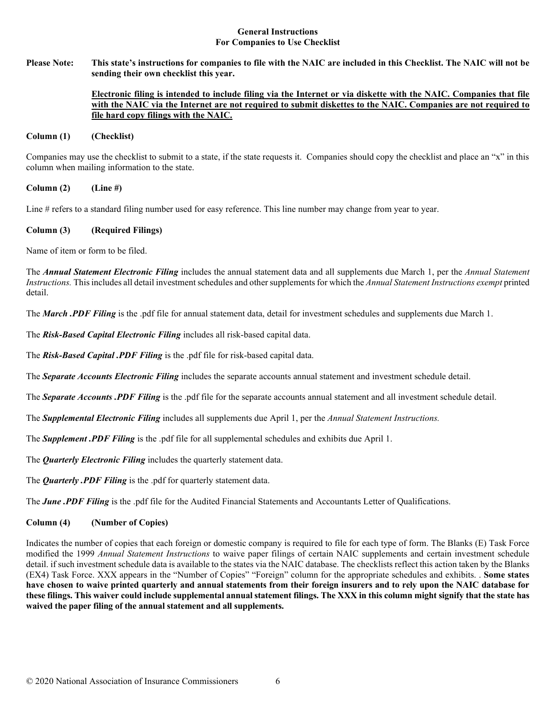#### **General Instructions For Companies to Use Checklist**

**Please Note: This state's instructions for companies to file with the NAIC are included in this Checklist. The NAIC will not be sending their own checklist this year.** 

## **Electronic filing is intended to include filing via the Internet or via diskette with the NAIC. Companies that file with the NAIC via the Internet are not required to submit diskettes to the NAIC. Companies are not required to file hard copy filings with the NAIC.**

#### **Column (1) (Checklist)**

Companies may use the checklist to submit to a state, if the state requests it. Companies should copy the checklist and place an "x" in this column when mailing information to the state.

**Column (2) (Line #)**

Line # refers to a standard filing number used for easy reference. This line number may change from year to year.

# **Column (3) (Required Filings)**

Name of item or form to be filed.

The *Annual Statement Electronic Filing* includes the annual statement data and all supplements due March 1, per the *Annual Statement Instructions.* This includes all detail investment schedules and other supplements for which the *Annual Statement Instructions exempt* printed detail.

The *March .PDF Filing* is the .pdf file for annual statement data, detail for investment schedules and supplements due March 1.

The *Risk-Based Capital Electronic Filing* includes all risk-based capital data.

The *Risk-Based Capital .PDF Filing* is the .pdf file for risk-based capital data.

The *Separate Accounts Electronic Filing* includes the separate accounts annual statement and investment schedule detail.

The *Separate Accounts .PDF Filing* is the .pdf file for the separate accounts annual statement and all investment schedule detail.

The *Supplemental Electronic Filing* includes all supplements due April 1, per the *Annual Statement Instructions.* 

The *Supplement .PDF Filing* is the .pdf file for all supplemental schedules and exhibits due April 1.

The *Quarterly Electronic Filing* includes the quarterly statement data.

The *Quarterly .PDF Filing* is the .pdf for quarterly statement data.

The *June .PDF Filing* is the .pdf file for the Audited Financial Statements and Accountants Letter of Qualifications.

# **Column (4) (Number of Copies)**

Indicates the number of copies that each foreign or domestic company is required to file for each type of form. The Blanks (E) Task Force modified the 1999 *Annual Statement Instructions* to waive paper filings of certain NAIC supplements and certain investment schedule detail. if such investment schedule data is available to the states via the NAIC database. The checklists reflect this action taken by the Blanks (EX4) Task Force. XXX appears in the "Number of Copies" "Foreign" column for the appropriate schedules and exhibits. . **Some states have chosen to waive printed quarterly and annual statements from their foreign insurers and to rely upon the NAIC database for these filings. This waiver could include supplemental annual statement filings. The XXX in this column might signify that the state has waived the paper filing of the annual statement and all supplements.**